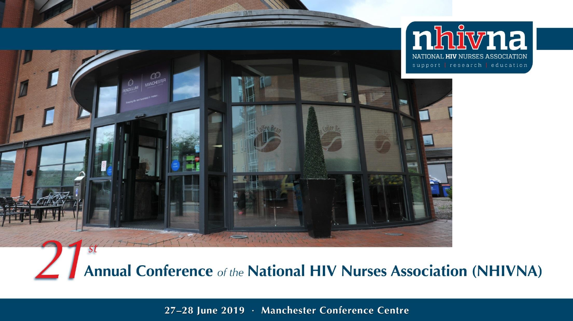

Annual Conference of the National HIV Nurses Association (NHIVNA)

27-28 June 2019 · Manchester Conference Centre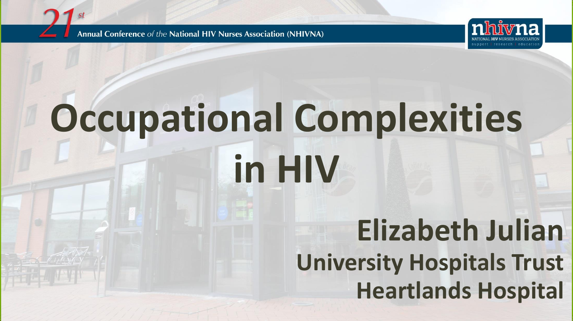Annual Conference of the National HIV Nurses Association (NHIVNA)



# **Occupational Complexities**

**in HIV**

#### **Elizabeth Julian University Hospitals Trust Heartlands Hospital**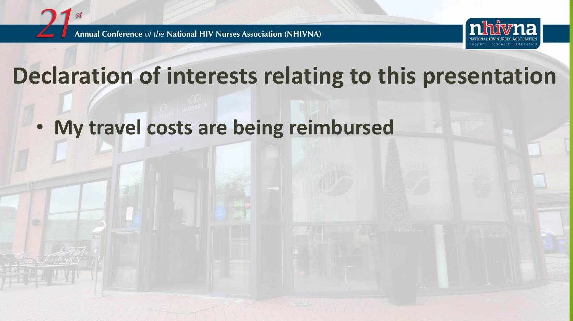



#### **Declaration of interests relating to this presentation**

• **My travel costs are being reimbursed**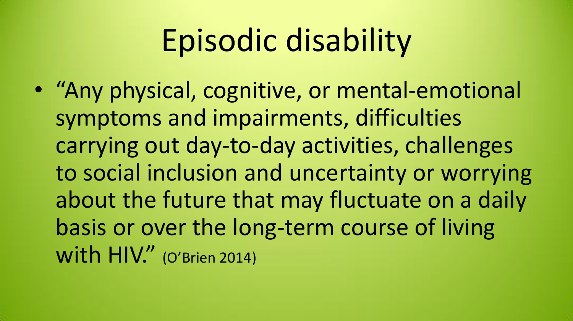### Episodic disability

• "Any physical, cognitive, or mental-emotional symptoms and impairments, difficulties carrying out day-to-day activities, challenges to social inclusion and uncertainty or worrying about the future that may fluctuate on a daily basis or over the long-term course of living with HIV." (O'Brien 2014)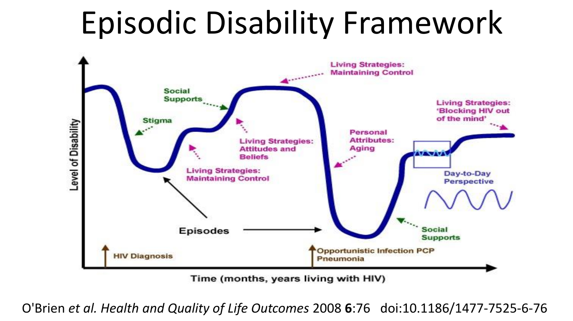#### Episodic Disability Framework



Time (months, years living with HIV)

O'Brien *et al. Health and Quality of Life Outcomes* 2008 **6**:76 doi:10.1186/1477-7525-6-76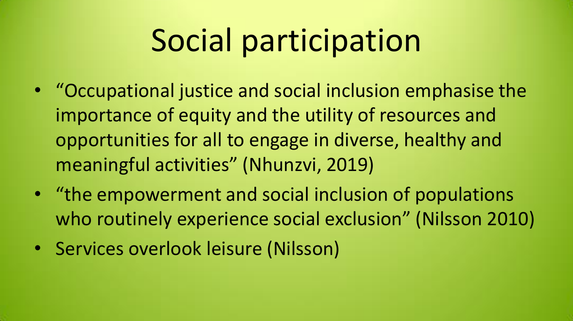#### Social participation

- "Occupational justice and social inclusion emphasise the importance of equity and the utility of resources and opportunities for all to engage in diverse, healthy and meaningful activities" (Nhunzvi, 2019)
- "the empowerment and social inclusion of populations who routinely experience social exclusion" (Nilsson 2010)
- Services overlook leisure (Nilsson)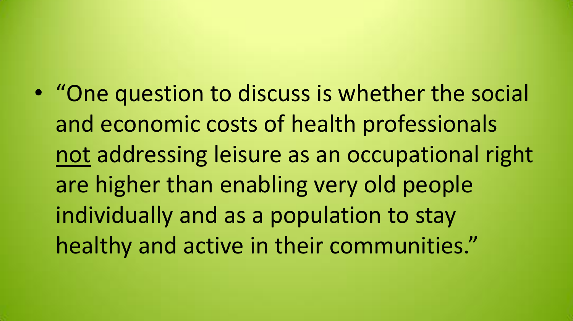• "One question to discuss is whether the social and economic costs of health professionals not addressing leisure as an occupational right are higher than enabling very old people individually and as a population to stay healthy and active in their communities."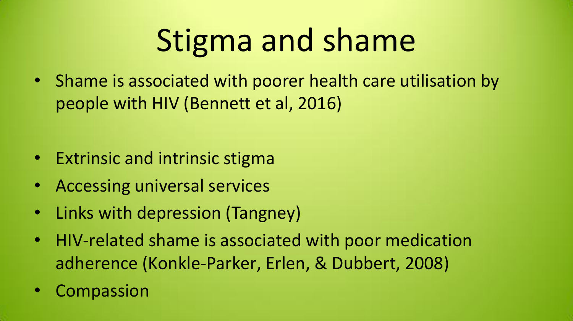### Stigma and shame

• Shame is associated with poorer health care utilisation by people with HIV (Bennett et al, 2016)

- Extrinsic and intrinsic stigma
- Accessing universal services
- Links with depression (Tangney)
- HIV-related shame is associated with poor medication adherence (Konkle-Parker, Erlen, & Dubbert, 2008)
- **Compassion**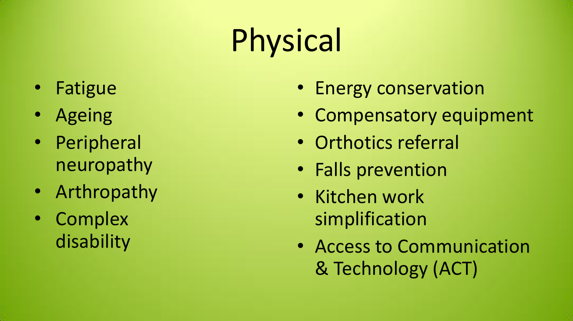## Physical

- Fatigue
- Ageing
- Peripheral neuropathy
- Arthropathy
- Complex disability
- Energy conservation
- Compensatory equipment
- Orthotics referral
- Falls prevention
- Kitchen work simplification
- Access to Communication & Technology (ACT)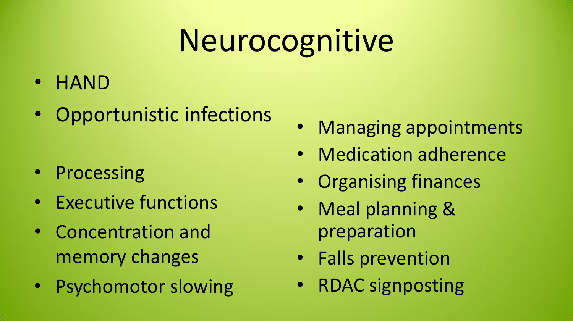### Neurocognitive

- HAND
- Opportunistic infections

- Processing
- Executive functions
- Concentration and memory changes
- Psychomotor slowing
- Managing appointments
- Medication adherence
- Organising finances
- Meal planning & preparation
- Falls prevention
- RDAC signposting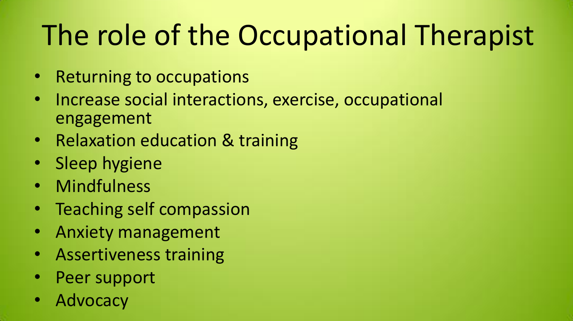#### The role of the Occupational Therapist

- Returning to occupations
- Increase social interactions, exercise, occupational engagement
- Relaxation education & training
- Sleep hygiene
- Mindfulness
- Teaching self compassion
- Anxiety management
- Assertiveness training
- Peer support
- **Advocacy**